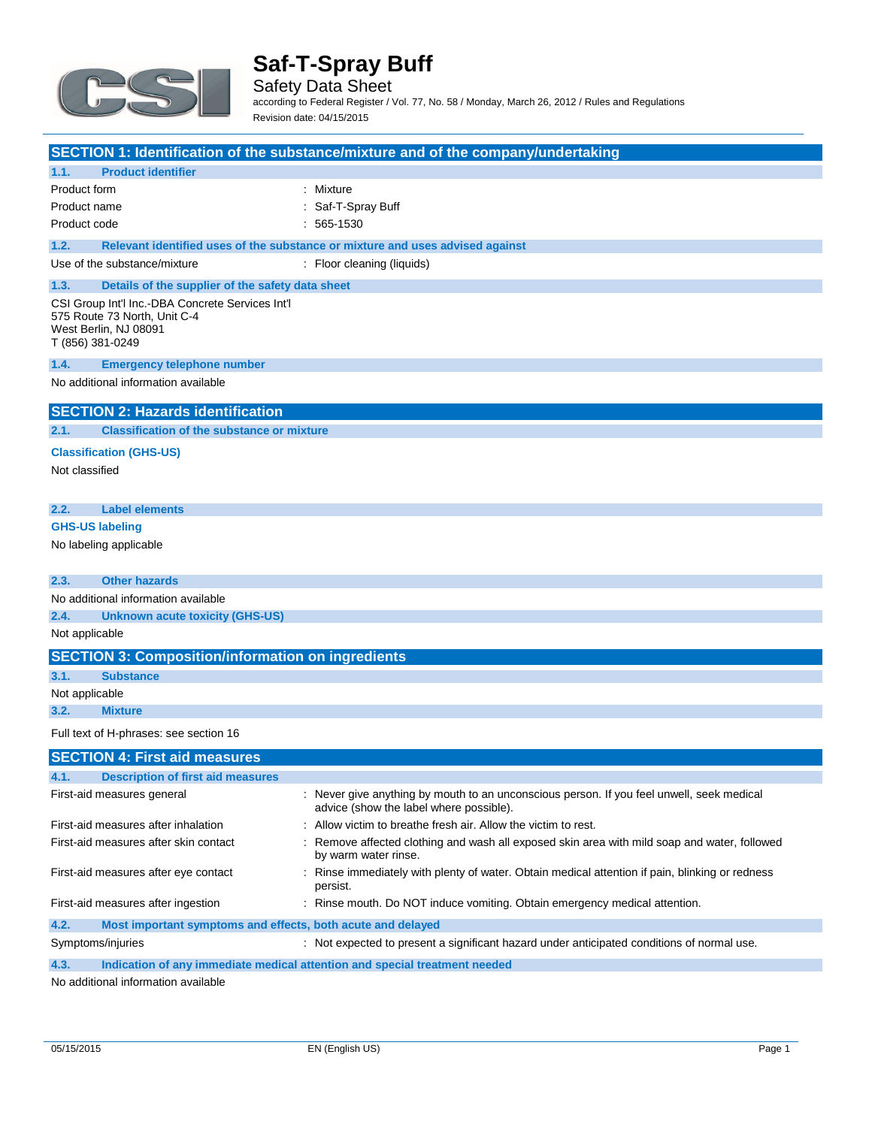

Safety Data Sheet according to Federal Register / Vol. 77, No. 58 / Monday, March 26, 2012 / Rules and Regulations Revision date: 04/15/2015

|                                                                                                                               | <b>SECTION 1: Identification of the substance/mixture and of the company/undertaking</b>                                             |
|-------------------------------------------------------------------------------------------------------------------------------|--------------------------------------------------------------------------------------------------------------------------------------|
| <b>Product identifier</b><br>1.1.                                                                                             |                                                                                                                                      |
| Product form<br>Product name                                                                                                  | : Mixture<br>Saf-T-Spray Buff                                                                                                        |
| Product code                                                                                                                  | $: 565 - 1530$                                                                                                                       |
|                                                                                                                               |                                                                                                                                      |
| 1.2.                                                                                                                          | Relevant identified uses of the substance or mixture and uses advised against                                                        |
| Use of the substance/mixture                                                                                                  | : Floor cleaning (liquids)                                                                                                           |
| 1.3.<br>Details of the supplier of the safety data sheet                                                                      |                                                                                                                                      |
| CSI Group Int'l Inc.-DBA Concrete Services Int'l<br>575 Route 73 North, Unit C-4<br>West Berlin, NJ 08091<br>T (856) 381-0249 |                                                                                                                                      |
| 1.4.<br><b>Emergency telephone number</b>                                                                                     |                                                                                                                                      |
| No additional information available                                                                                           |                                                                                                                                      |
| <b>SECTION 2: Hazards identification</b>                                                                                      |                                                                                                                                      |
| <b>Classification of the substance or mixture</b><br>2.1.                                                                     |                                                                                                                                      |
| <b>Classification (GHS-US)</b>                                                                                                |                                                                                                                                      |
| Not classified                                                                                                                |                                                                                                                                      |
| <b>Label elements</b><br>2.2.                                                                                                 |                                                                                                                                      |
| <b>GHS-US labeling</b>                                                                                                        |                                                                                                                                      |
| No labeling applicable                                                                                                        |                                                                                                                                      |
| 2.3.<br><b>Other hazards</b>                                                                                                  |                                                                                                                                      |
| No additional information available                                                                                           |                                                                                                                                      |
| 2.4.<br><b>Unknown acute toxicity (GHS-US)</b>                                                                                |                                                                                                                                      |
| Not applicable                                                                                                                |                                                                                                                                      |
| <b>SECTION 3: Composition/information on ingredients</b>                                                                      |                                                                                                                                      |
| 3.1.<br><b>Substance</b>                                                                                                      |                                                                                                                                      |
| Not applicable                                                                                                                |                                                                                                                                      |
| 3.2.<br><b>Mixture</b>                                                                                                        |                                                                                                                                      |
| Full text of H-phrases: see section 16                                                                                        |                                                                                                                                      |
| <b>SECTION 4: First aid measures</b>                                                                                          |                                                                                                                                      |
| 4.1.<br><b>Description of first aid measures</b>                                                                              |                                                                                                                                      |
| First-aid measures general                                                                                                    | : Never give anything by mouth to an unconscious person. If you feel unwell, seek medical<br>advice (show the label where possible). |
| First-aid measures after inhalation                                                                                           | Allow victim to breathe fresh air. Allow the victim to rest.                                                                         |
| First-aid measures after skin contact                                                                                         | Remove affected clothing and wash all exposed skin area with mild soap and water, followed<br>by warm water rinse.                   |
| First-aid measures after eye contact                                                                                          | : Rinse immediately with plenty of water. Obtain medical attention if pain, blinking or redness<br>persist.                          |
| First-aid measures after ingestion                                                                                            | : Rinse mouth. Do NOT induce vomiting. Obtain emergency medical attention.                                                           |
| 4.2.<br>Most important symptoms and effects, both acute and delayed                                                           |                                                                                                                                      |
| Symptoms/injuries                                                                                                             | : Not expected to present a significant hazard under anticipated conditions of normal use.                                           |

**4.3. Indication of any immediate medical attention and special treatment needed**

No additional information available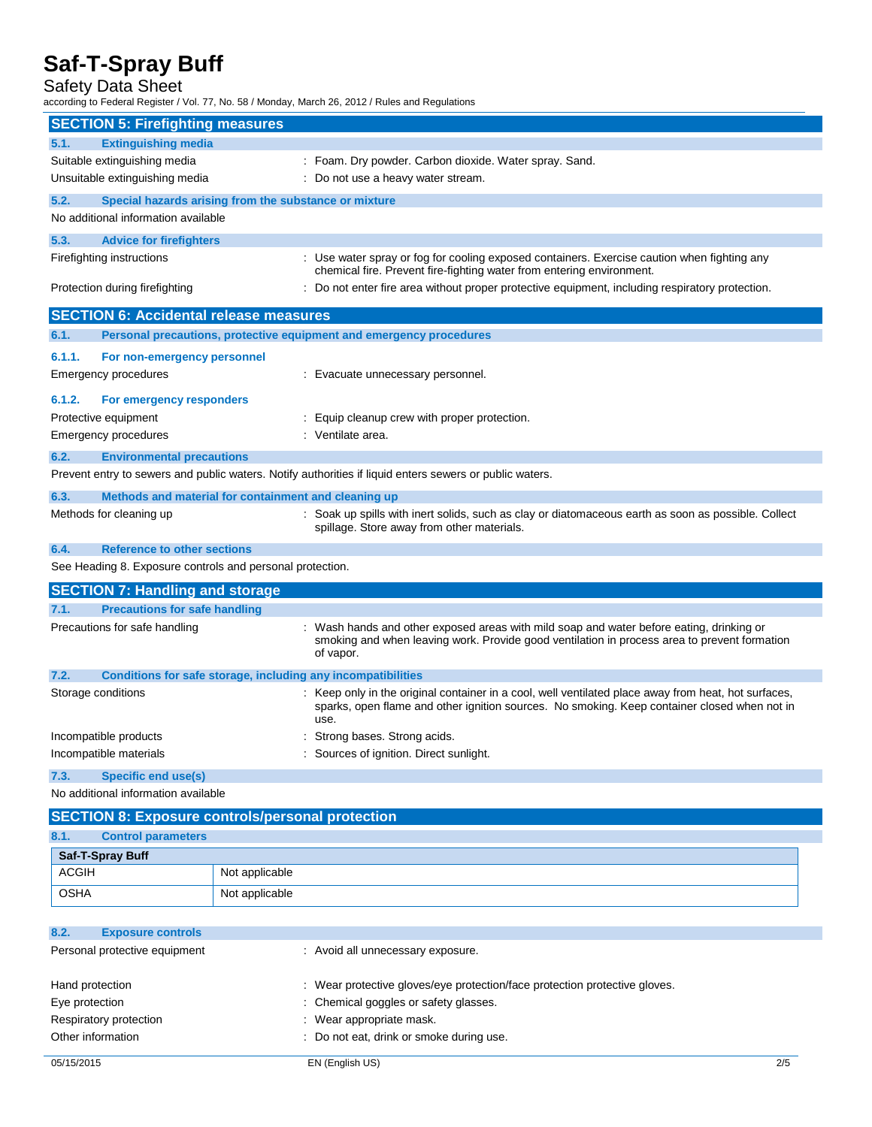#### Safety Data Sheet

according to Federal Register / Vol. 77, No. 58 / Monday, March 26, 2012 / Rules and Regulations

|                                     | <b>SECTION 5: Firefighting measures</b>                             |                                                                                                                                                                                                              |
|-------------------------------------|---------------------------------------------------------------------|--------------------------------------------------------------------------------------------------------------------------------------------------------------------------------------------------------------|
| 5.1.                                | <b>Extinguishing media</b>                                          |                                                                                                                                                                                                              |
|                                     | Suitable extinguishing media                                        | : Foam. Dry powder. Carbon dioxide. Water spray. Sand.                                                                                                                                                       |
|                                     | Unsuitable extinguishing media                                      | : Do not use a heavy water stream.                                                                                                                                                                           |
| 5.2.                                | Special hazards arising from the substance or mixture               |                                                                                                                                                                                                              |
|                                     | No additional information available                                 |                                                                                                                                                                                                              |
| 5.3.                                | <b>Advice for firefighters</b>                                      |                                                                                                                                                                                                              |
|                                     | Firefighting instructions                                           | : Use water spray or fog for cooling exposed containers. Exercise caution when fighting any<br>chemical fire. Prevent fire-fighting water from entering environment.                                         |
|                                     | Protection during firefighting                                      | : Do not enter fire area without proper protective equipment, including respiratory protection.                                                                                                              |
|                                     | <b>SECTION 6: Accidental release measures</b>                       |                                                                                                                                                                                                              |
| 6.1.                                | Personal precautions, protective equipment and emergency procedures |                                                                                                                                                                                                              |
| 6.1.1.                              | For non-emergency personnel                                         |                                                                                                                                                                                                              |
|                                     | Emergency procedures                                                | : Evacuate unnecessary personnel.                                                                                                                                                                            |
| 6.1.2.                              | For emergency responders                                            |                                                                                                                                                                                                              |
|                                     | Protective equipment                                                | : Equip cleanup crew with proper protection.                                                                                                                                                                 |
|                                     | Emergency procedures                                                | : Ventilate area.                                                                                                                                                                                            |
| 6.2.                                | <b>Environmental precautions</b>                                    |                                                                                                                                                                                                              |
|                                     |                                                                     | Prevent entry to sewers and public waters. Notify authorities if liquid enters sewers or public waters.                                                                                                      |
| 6.3.                                | Methods and material for containment and cleaning up                |                                                                                                                                                                                                              |
|                                     | Methods for cleaning up                                             | : Soak up spills with inert solids, such as clay or diatomaceous earth as soon as possible. Collect<br>spillage. Store away from other materials.                                                            |
| 6.4.                                | <b>Reference to other sections</b>                                  |                                                                                                                                                                                                              |
|                                     | See Heading 8. Exposure controls and personal protection.           |                                                                                                                                                                                                              |
|                                     | <b>SECTION 7: Handling and storage</b>                              |                                                                                                                                                                                                              |
| 7.1.                                | <b>Precautions for safe handling</b>                                |                                                                                                                                                                                                              |
|                                     | Precautions for safe handling                                       | : Wash hands and other exposed areas with mild soap and water before eating, drinking or<br>smoking and when leaving work. Provide good ventilation in process area to prevent formation<br>of vapor.        |
| 7.2.                                | Conditions for safe storage, including any incompatibilities        |                                                                                                                                                                                                              |
|                                     | Storage conditions                                                  | : Keep only in the original container in a cool, well ventilated place away from heat, hot surfaces,<br>sparks, open flame and other ignition sources. No smoking. Keep container closed when not in<br>use. |
|                                     | Incompatible products                                               | : Strong bases. Strong acids.                                                                                                                                                                                |
|                                     | Incompatible materials                                              | : Sources of ignition. Direct sunlight.                                                                                                                                                                      |
| 7.3.                                | <b>Specific end use(s)</b>                                          |                                                                                                                                                                                                              |
| No additional information available |                                                                     |                                                                                                                                                                                                              |
|                                     | <b>SECTION 8: Exposure controls/personal protection</b>             |                                                                                                                                                                                                              |
| 8.1.                                | <b>Control parameters</b>                                           |                                                                                                                                                                                                              |
|                                     | Cof T Caroy Ruff                                                    |                                                                                                                                                                                                              |

| Saf-T-Spray Buff |                |
|------------------|----------------|
| <b>ACGIH</b>     | Not applicable |
| <b>OSHA</b>      | Not applicable |

| <b>Exposure controls</b><br>8.2. |                                                                            |     |
|----------------------------------|----------------------------------------------------------------------------|-----|
| Personal protective equipment    | : Avoid all unnecessary exposure.                                          |     |
| Hand protection                  | : Wear protective gloves/eye protection/face protection protective gloves. |     |
| Eye protection                   | : Chemical goggles or safety glasses.                                      |     |
| Respiratory protection           | : Wear appropriate mask.                                                   |     |
| Other information                | : Do not eat, drink or smoke during use.                                   |     |
| 05/15/2015                       | EN (English US)                                                            | 2/5 |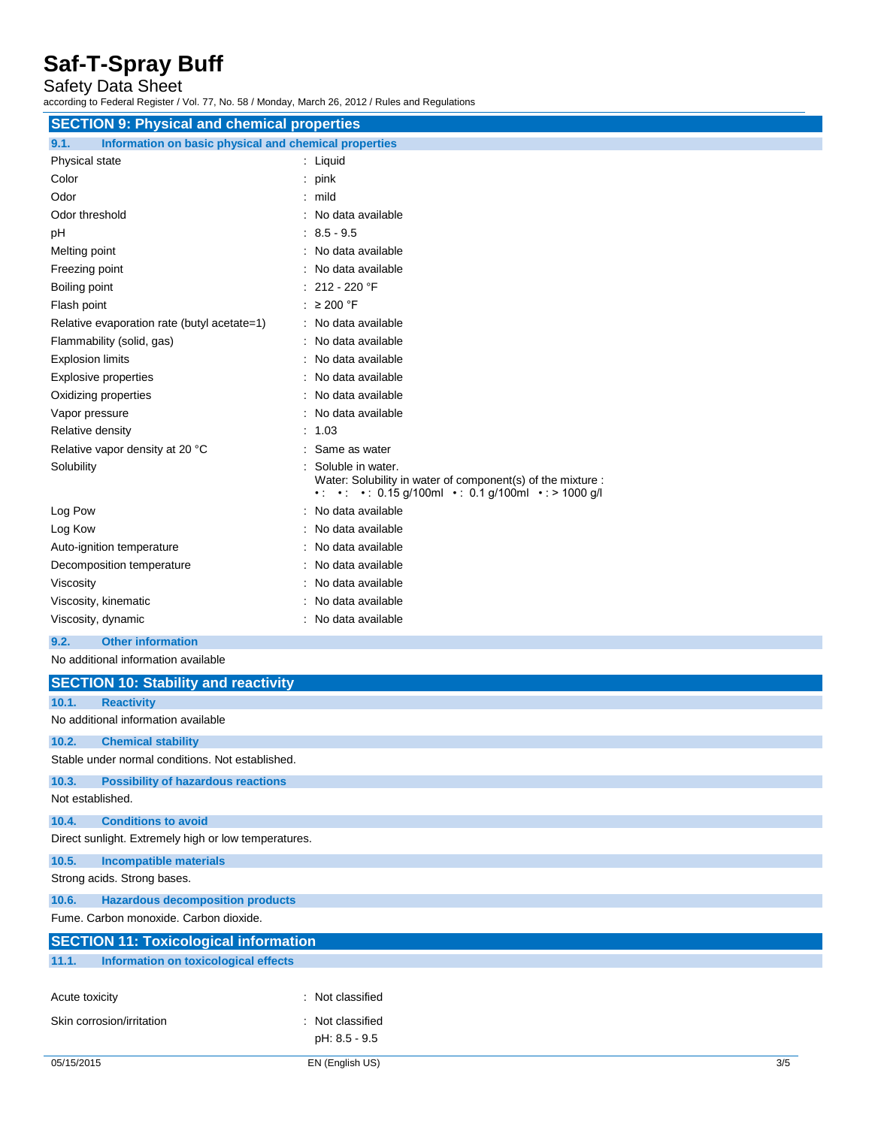### Safety Data Sheet

according to Federal Register / Vol. 77, No. 58 / Monday, March 26, 2012 / Rules and Regulations

| <b>SECTION 9: Physical and chemical properties</b>            |                                                                                                                                   |  |
|---------------------------------------------------------------|-----------------------------------------------------------------------------------------------------------------------------------|--|
| Information on basic physical and chemical properties<br>9.1. |                                                                                                                                   |  |
| Physical state                                                | : Liquid                                                                                                                          |  |
| Color                                                         | $:$ pink                                                                                                                          |  |
| Odor                                                          | : mild                                                                                                                            |  |
| Odor threshold                                                | : No data available                                                                                                               |  |
| pH                                                            | $: 8.5 - 9.5$                                                                                                                     |  |
| Melting point                                                 | : No data available                                                                                                               |  |
| Freezing point                                                | No data available                                                                                                                 |  |
| Boiling point                                                 | 212 - 220 °F                                                                                                                      |  |
| Flash point                                                   | : $\geq 200$ °F                                                                                                                   |  |
| Relative evaporation rate (butyl acetate=1)                   | : No data available                                                                                                               |  |
| Flammability (solid, gas)                                     | : No data available                                                                                                               |  |
| <b>Explosion limits</b>                                       | : No data available                                                                                                               |  |
| <b>Explosive properties</b>                                   | : No data available                                                                                                               |  |
| Oxidizing properties                                          | : No data available                                                                                                               |  |
| Vapor pressure                                                | : No data available                                                                                                               |  |
| Relative density                                              | : 1.03                                                                                                                            |  |
| Relative vapor density at 20 °C                               | : Same as water                                                                                                                   |  |
| Solubility                                                    | Soluble in water.<br>Water: Solubility in water of component(s) of the mixture :<br>• • • 0.15 g/100ml • 0.1 g/100ml • > 1000 g/l |  |
| Log Pow                                                       | : No data available                                                                                                               |  |
| Log Kow                                                       | : No data available                                                                                                               |  |
| Auto-ignition temperature                                     | : No data available                                                                                                               |  |
| Decomposition temperature                                     | : No data available                                                                                                               |  |
| Viscosity                                                     | No data available                                                                                                                 |  |
| Viscosity, kinematic                                          | No data available                                                                                                                 |  |
| Viscosity, dynamic                                            | : No data available                                                                                                               |  |
| 9.2.<br><b>Other information</b>                              |                                                                                                                                   |  |
| No additional information available                           |                                                                                                                                   |  |
| <b>SECTION 10: Stability and reactivity</b>                   |                                                                                                                                   |  |
| 10.1.<br><b>Reactivity</b>                                    |                                                                                                                                   |  |
| No additional information available                           |                                                                                                                                   |  |
| 10.2.<br><b>Chemical stability</b>                            |                                                                                                                                   |  |
| Stable under normal conditions. Not established.              |                                                                                                                                   |  |
| 10.3.<br><b>Possibility of hazardous reactions</b>            |                                                                                                                                   |  |
| Not established.                                              |                                                                                                                                   |  |
| 10.4.<br><b>Conditions to avoid</b>                           |                                                                                                                                   |  |
| Direct sunlight. Extremely high or low temperatures.          |                                                                                                                                   |  |
| 10.5.<br><b>Incompatible materials</b>                        |                                                                                                                                   |  |
| Strong acids. Strong bases.                                   |                                                                                                                                   |  |
| 10.6.<br><b>Hazardous decomposition products</b>              |                                                                                                                                   |  |
| Fume. Carbon monoxide. Carbon dioxide.                        |                                                                                                                                   |  |
| <b>SECTION 11: Toxicological information</b>                  |                                                                                                                                   |  |
| <b>Information on toxicological effects</b><br>11.1.          |                                                                                                                                   |  |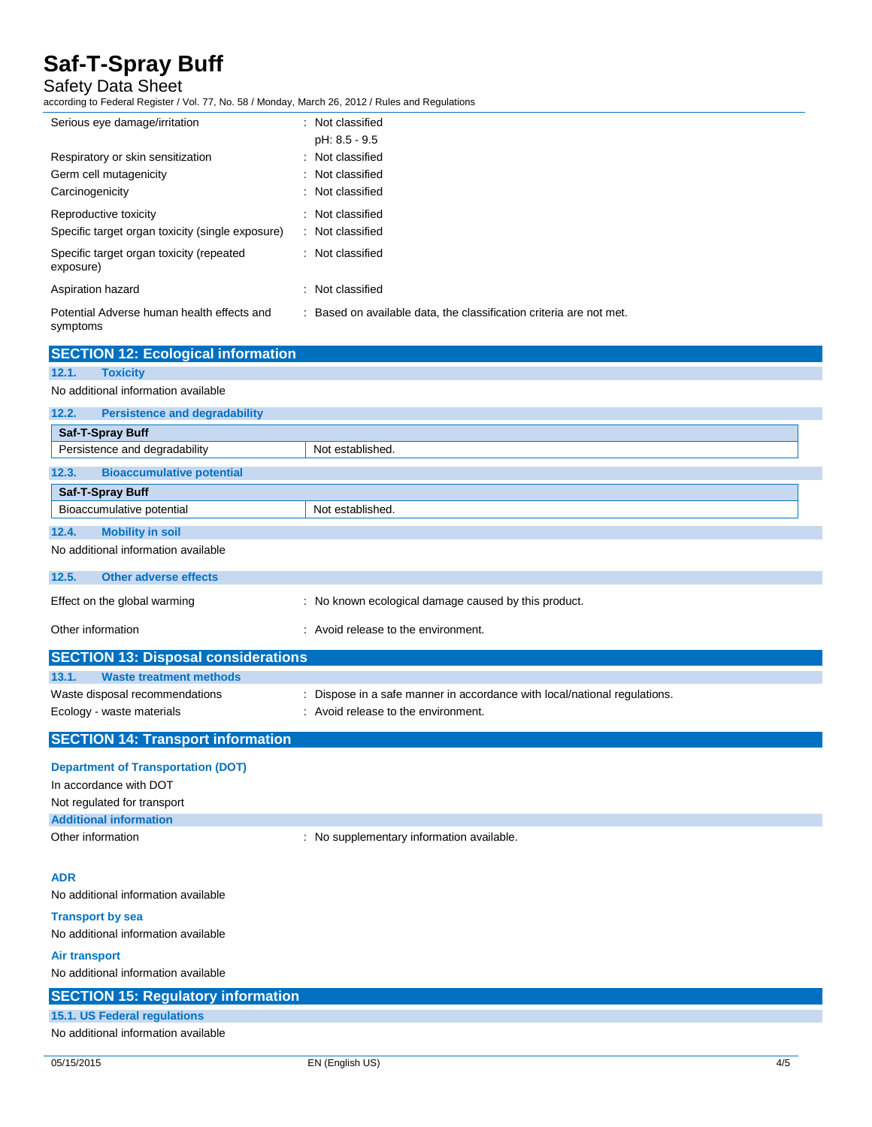### Safety Data Sheet

according to Federal Register / Vol. 77, No. 58 / Monday, March 26, 2012 / Rules and Regulations

Persistence and degradability Not established.

| Serious eye damage/irritation                          | : Not classified                                                    |
|--------------------------------------------------------|---------------------------------------------------------------------|
|                                                        | pH: 8.5 - 9.5                                                       |
| Respiratory or skin sensitization                      | : Not classified                                                    |
| Germ cell mutagenicity                                 | : Not classified                                                    |
| Carcinogenicity                                        | : Not classified                                                    |
| Reproductive toxicity                                  | : Not classified                                                    |
| Specific target organ toxicity (single exposure)       | : Not classified                                                    |
| Specific target organ toxicity (repeated<br>exposure)  | : Not classified                                                    |
| Aspiration hazard                                      | : Not classified                                                    |
| Potential Adverse human health effects and<br>symptoms | : Based on available data, the classification criteria are not met. |
| <b>SECTION 12: Ecological information</b>              |                                                                     |
| 12.1.<br><b>Toxicity</b>                               |                                                                     |
| No additional information available                    |                                                                     |
| 12.2.<br><b>Persistence and degradability</b>          |                                                                     |
| <b>Saf-T-Spray Buff</b>                                |                                                                     |

| 12.3.<br><b>Bioaccumulative potential</b>  |                                                                           |  |
|--------------------------------------------|---------------------------------------------------------------------------|--|
| Saf-T-Spray Buff                           |                                                                           |  |
| Bioaccumulative potential                  | Not established.                                                          |  |
| 12.4.<br><b>Mobility in soil</b>           |                                                                           |  |
| No additional information available        |                                                                           |  |
| 12.5.<br>Other adverse effects             |                                                                           |  |
| Effect on the global warming               | : No known ecological damage caused by this product.                      |  |
| Other information                          | : Avoid release to the environment.                                       |  |
| <b>SECTION 13: Disposal considerations</b> |                                                                           |  |
| <b>Waste treatment methods</b><br>13.1.    |                                                                           |  |
| Waste disposal recommendations             | : Dispose in a safe manner in accordance with local/national regulations. |  |
| Ecology - waste materials                  | : Avoid release to the environment.                                       |  |
| <b>SECTION 14: Transport information</b>   |                                                                           |  |
|                                            |                                                                           |  |

### **Department of Transportation (DOT)**

| In accordance with DOT        |                                           |
|-------------------------------|-------------------------------------------|
| Not regulated for transport   |                                           |
| <b>Additional information</b> |                                           |
| Other information             | : No supplementary information available. |

#### **ADR**

No additional information available

#### **Transport by sea** No additional information available

**Air transport**

No additional information available

| <b>SECTION 15: Regulatory information</b> |  |
|-------------------------------------------|--|
| 15.1. US Federal regulations              |  |
| No additional information available       |  |